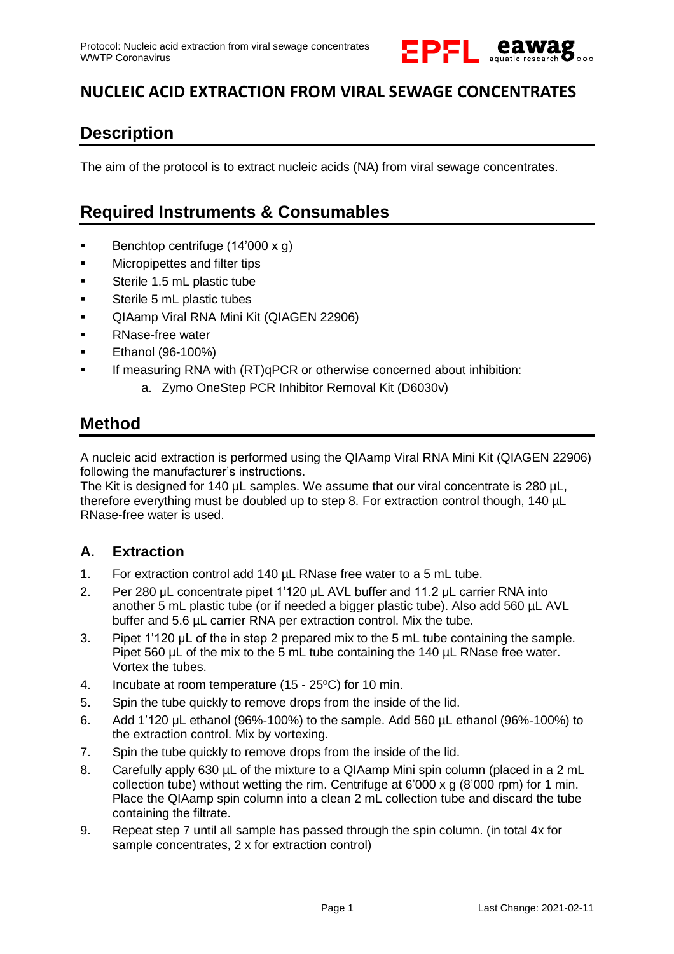

## **NUCLEIC ACID EXTRACTION FROM VIRAL SEWAGE CONCENTRATES**

## **Description**

The aim of the protocol is to extract nucleic acids (NA) from viral sewage concentrates.

### **Required Instruments & Consumables**

- Benchtop centrifuge  $(14'000 \times g)$
- **EXECUTE:** Micropipettes and filter tips
- **Sterile 1.5 mL plastic tube**
- **Sterile 5 mL plastic tubes**
- **QIAamp Viral RNA Mini Kit (QIAGEN 22906)**
- RNase-free water
- **Ethanol (96-100%)**
- If measuring RNA with (RT)qPCR or otherwise concerned about inhibition:
	- a. Zymo OneStep PCR Inhibitor Removal Kit (D6030v)

### **Method**

A nucleic acid extraction is performed using the QIAamp Viral RNA Mini Kit (QIAGEN 22906) following the manufacturer's instructions.

The Kit is designed for 140 µL samples. We assume that our viral concentrate is 280 µL, therefore everything must be doubled up to step 8. For extraction control though, 140 µL RNase-free water is used.

#### **A. Extraction**

- 1. For extraction control add 140 µL RNase free water to a 5 mL tube.
- 2. Per 280 µL concentrate pipet 1'120 µL AVL buffer and 11.2 µL carrier RNA into another 5 mL plastic tube (or if needed a bigger plastic tube). Also add 560 µL AVL buffer and 5.6 µL carrier RNA per extraction control. Mix the tube.
- 3. Pipet 1'120 µL of the in step 2 prepared mix to the 5 mL tube containing the sample. Pipet 560 µL of the mix to the 5 mL tube containing the 140 µL RNase free water. Vortex the tubes.
- 4. Incubate at room temperature (15 25ºC) for 10 min.
- 5. Spin the tube quickly to remove drops from the inside of the lid.
- 6. Add 1'120 µL ethanol (96%-100%) to the sample. Add 560 µL ethanol (96%-100%) to the extraction control. Mix by vortexing.
- 7. Spin the tube quickly to remove drops from the inside of the lid.
- 8. Carefully apply 630 µL of the mixture to a QIAamp Mini spin column (placed in a 2 mL collection tube) without wetting the rim. Centrifuge at 6'000 x g (8'000 rpm) for 1 min. Place the QIAamp spin column into a clean 2 mL collection tube and discard the tube containing the filtrate.
- 9. Repeat step 7 until all sample has passed through the spin column. (in total 4x for sample concentrates, 2 x for extraction control)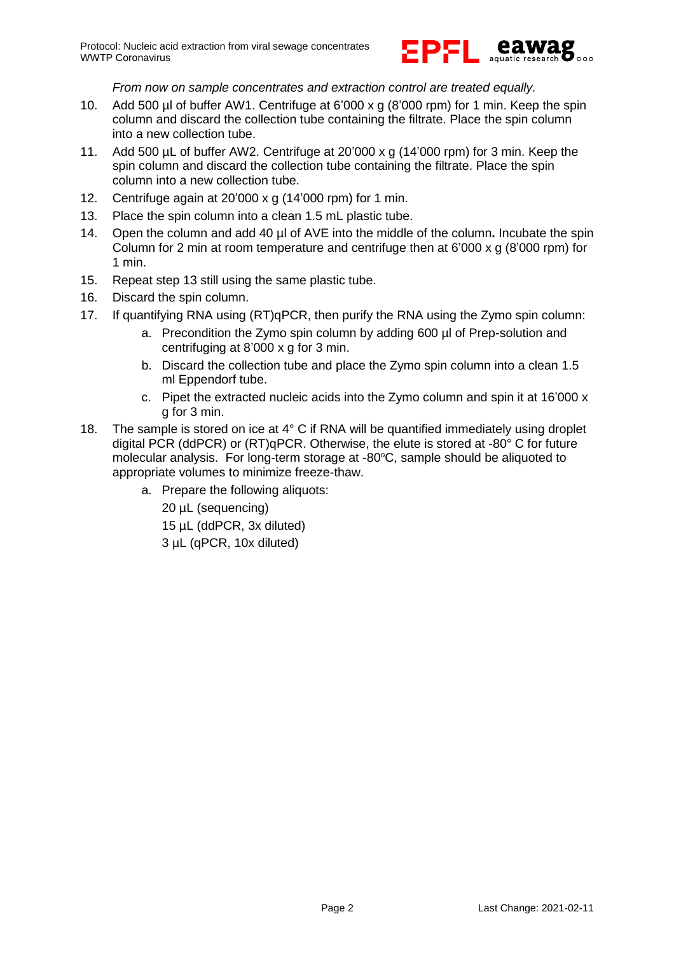

#### *From now on sample concentrates and extraction control are treated equally.*

- 10. Add 500 µl of buffer AW1. Centrifuge at 6'000 x g (8'000 rpm) for 1 min. Keep the spin column and discard the collection tube containing the filtrate. Place the spin column into a new collection tube.
- 11. Add 500 µL of buffer AW2. Centrifuge at 20'000 x g (14'000 rpm) for 3 min. Keep the spin column and discard the collection tube containing the filtrate. Place the spin column into a new collection tube.
- 12. Centrifuge again at 20'000 x g (14'000 rpm) for 1 min.
- 13. Place the spin column into a clean 1.5 mL plastic tube.
- 14. Open the column and add 40 µl of AVE into the middle of the column**.** Incubate the spin Column for 2 min at room temperature and centrifuge then at  $6'000 \times g$  (8'000 rpm) for 1 min.
- 15. Repeat step 13 still using the same plastic tube.
- 16. Discard the spin column.
- 17. If quantifying RNA using (RT)qPCR, then purify the RNA using the Zymo spin column:
	- a. Precondition the Zymo spin column by adding 600 µl of Prep-solution and centrifuging at 8'000 x g for 3 min.
	- b. Discard the collection tube and place the Zymo spin column into a clean 1.5 ml Eppendorf tube.
	- c. Pipet the extracted nucleic acids into the Zymo column and spin it at 16'000 x g for 3 min.
- 18. The sample is stored on ice at  $4^{\circ}$  C if RNA will be quantified immediately using droplet digital PCR (ddPCR) or (RT)qPCR. Otherwise, the elute is stored at -80° C for future molecular analysis. For long-term storage at  $-80^{\circ}$ C, sample should be aliquoted to appropriate volumes to minimize freeze-thaw.
	- a. Prepare the following aliquots:

20 µL (sequencing) 15 µL (ddPCR, 3x diluted) 3 µL (qPCR, 10x diluted)